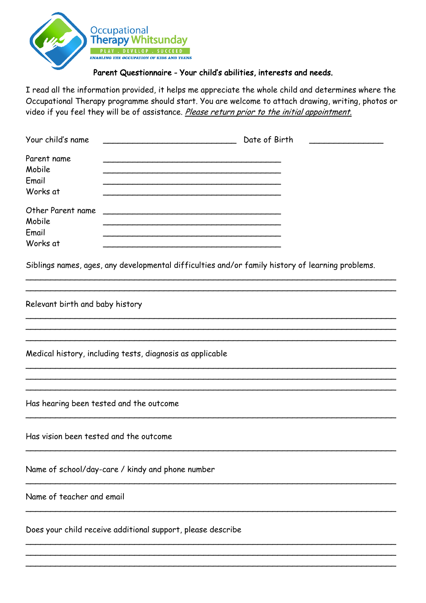

## Parent Questionnaire - Your child's abilities, interests and needs.

I read all the information provided, it helps me appreciate the whole child and determines where the Occupational Therapy programme should start. You are welcome to attach drawing, writing, photos or video if you feel they will be of assistance. Please return prior to the initial appointment.

| Your child's name                                           | Date of Birth                                                                                    |
|-------------------------------------------------------------|--------------------------------------------------------------------------------------------------|
| Parent name<br>Mobile<br>Email<br>Works at                  |                                                                                                  |
| Other Parent name<br>Mobile<br>Email<br>Works at            |                                                                                                  |
|                                                             | Siblings names, ages, any developmental difficulties and/or family history of learning problems. |
| Relevant birth and baby history                             |                                                                                                  |
|                                                             | Medical history, including tests, diagnosis as applicable                                        |
|                                                             |                                                                                                  |
| Has hearing been tested and the outcome                     |                                                                                                  |
| Has vision been tested and the outcome                      |                                                                                                  |
|                                                             | Name of school/day-care / kindy and phone number                                                 |
| Name of teacher and email                                   |                                                                                                  |
| Does your child receive additional support, please describe |                                                                                                  |
|                                                             |                                                                                                  |